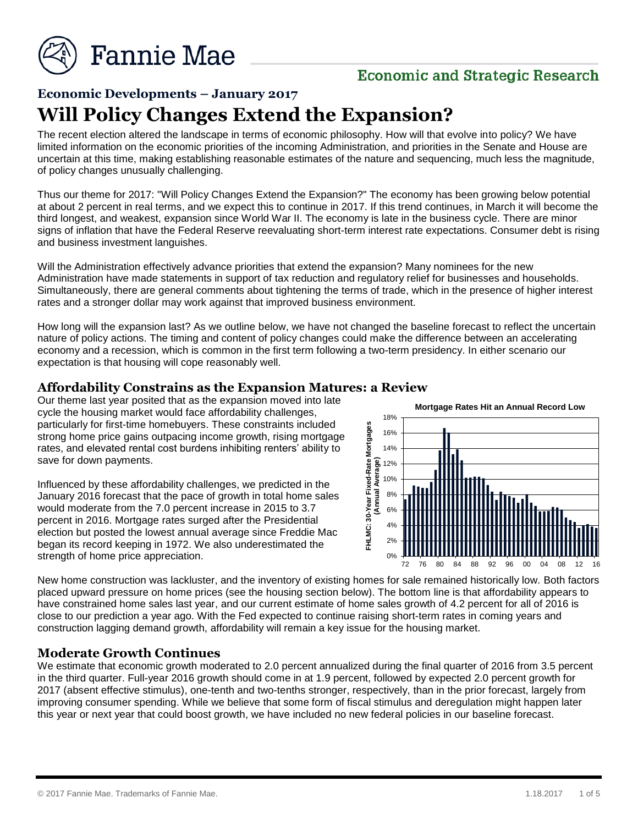

# **Economic and Strategic Research**

# **Economic Developments – January 2017 Will Policy Changes Extend the Expansion?**

The recent election altered the landscape in terms of economic philosophy. How will that evolve into policy? We have limited information on the economic priorities of the incoming Administration, and priorities in the Senate and House are uncertain at this time, making establishing reasonable estimates of the nature and sequencing, much less the magnitude, of policy changes unusually challenging.

Thus our theme for 2017: "Will Policy Changes Extend the Expansion?" The economy has been growing below potential at about 2 percent in real terms, and we expect this to continue in 2017. If this trend continues, in March it will become the third longest, and weakest, expansion since World War II. The economy is late in the business cycle. There are minor signs of inflation that have the Federal Reserve reevaluating short-term interest rate expectations. Consumer debt is rising and business investment languishes.

Will the Administration effectively advance priorities that extend the expansion? Many nominees for the new Administration have made statements in support of tax reduction and regulatory relief for businesses and households. Simultaneously, there are general comments about tightening the terms of trade, which in the presence of higher interest rates and a stronger dollar may work against that improved business environment.

How long will the expansion last? As we outline below, we have not changed the baseline forecast to reflect the uncertain nature of policy actions. The timing and content of policy changes could make the difference between an accelerating economy and a recession, which is common in the first term following a two-term presidency. In either scenario our expectation is that housing will cope reasonably well.

#### **Affordability Constrains as the Expansion Matures: a Review**

Our theme last year posited that as the expansion moved into late cycle the housing market would face affordability challenges, particularly for first-time homebuyers. These constraints included strong home price gains outpacing income growth, rising mortgage rates, and elevated rental cost burdens inhibiting renters' ability to save for down payments.

Influenced by these affordability challenges, we predicted in the January 2016 forecast that the pace of growth in total home sales would moderate from the 7.0 percent increase in 2015 to 3.7 percent in 2016. Mortgage rates surged after the Presidential election but posted the lowest annual average since Freddie Mac began its record keeping in 1972. We also underestimated the strength of home price appreciation.



New home construction was lackluster, and the inventory of existing homes for sale remained historically low. Both factors placed upward pressure on home prices (see the housing section below). The bottom line is that affordability appears to have constrained home sales last year, and our current estimate of home sales growth of 4.2 percent for all of 2016 is close to our prediction a year ago. With the Fed expected to continue raising short-term rates in coming years and construction lagging demand growth, affordability will remain a key issue for the housing market.

#### **Moderate Growth Continues**

We estimate that economic growth moderated to 2.0 percent annualized during the final quarter of 2016 from 3.5 percent in the third quarter. Full-year 2016 growth should come in at 1.9 percent, followed by expected 2.0 percent growth for 2017 (absent effective stimulus), one-tenth and two-tenths stronger, respectively, than in the prior forecast, largely from improving consumer spending. While we believe that some form of fiscal stimulus and deregulation might happen later this year or next year that could boost growth, we have included no new federal policies in our baseline forecast.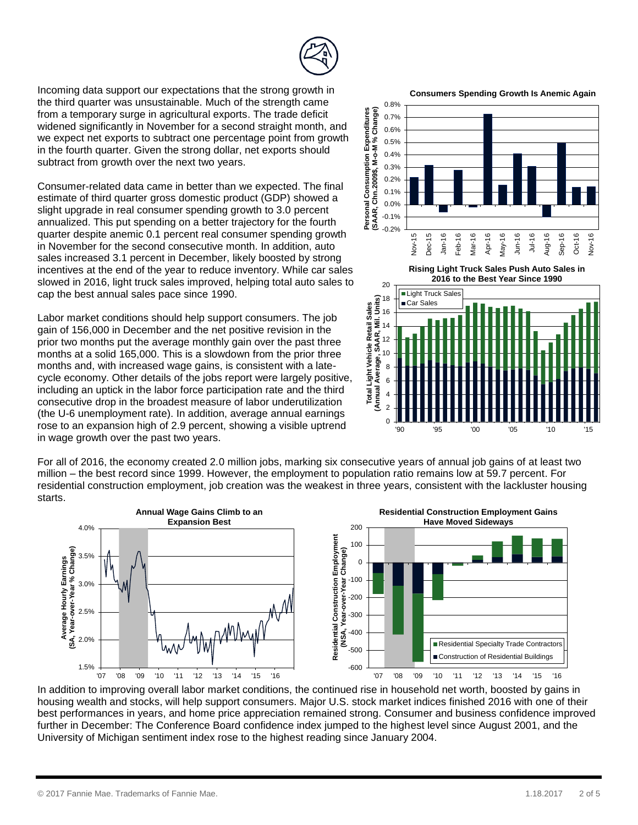Incoming data support our expectations that the strong growth in

the third quarter was unsustainable. Much of the strength came from a temporary surge in agricultural exports. The trade deficit widened significantly in November for a second straight month, and we expect net exports to subtract one percentage point from growth in the fourth quarter. Given the strong dollar, net exports should subtract from growth over the next two years.

Consumer-related data came in better than we expected. The final estimate of third quarter gross domestic product (GDP) showed a slight upgrade in real consumer spending growth to 3.0 percent annualized. This put spending on a better trajectory for the fourth quarter despite anemic 0.1 percent real consumer spending growth in November for the second consecutive month. In addition, auto sales increased 3.1 percent in December, likely boosted by strong incentives at the end of the year to reduce inventory. While car sales slowed in 2016, light truck sales improved, helping total auto sales to cap the best annual sales pace since 1990.

Labor market conditions should help support consumers. The job gain of 156,000 in December and the net positive revision in the prior two months put the average monthly gain over the past three months at a solid 165,000. This is a slowdown from the prior three months and, with increased wage gains, is consistent with a latecycle economy. Other details of the jobs report were largely positive, including an uptick in the labor force participation rate and the third consecutive drop in the broadest measure of labor underutilization (the U-6 unemployment rate). In addition, average annual earnings rose to an expansion high of 2.9 percent, showing a visible uptrend in wage growth over the past two years.

For all of 2016, the economy created 2.0 million jobs, marking six consecutive years of annual job gains of at least two million – the best record since 1999. However, the employment to population ratio remains low at 59.7 percent. For residential construction employment, job creation was the weakest in three years, consistent with the lackluster housing starts.



In addition to improving overall labor market conditions, the continued rise in household net worth, boosted by gains in housing wealth and stocks, will help support consumers. Major U.S. stock market indices finished 2016 with one of their best performances in years, and home price appreciation remained strong. Consumer and business confidence improved further in December: The Conference Board confidence index jumped to the highest level since August 2001, and the University of Michigan sentiment index rose to the highest reading since January 2004.





**Rising Light Truck Sales Push Auto Sales in** 

**2016 to the Best Year Since 1990**

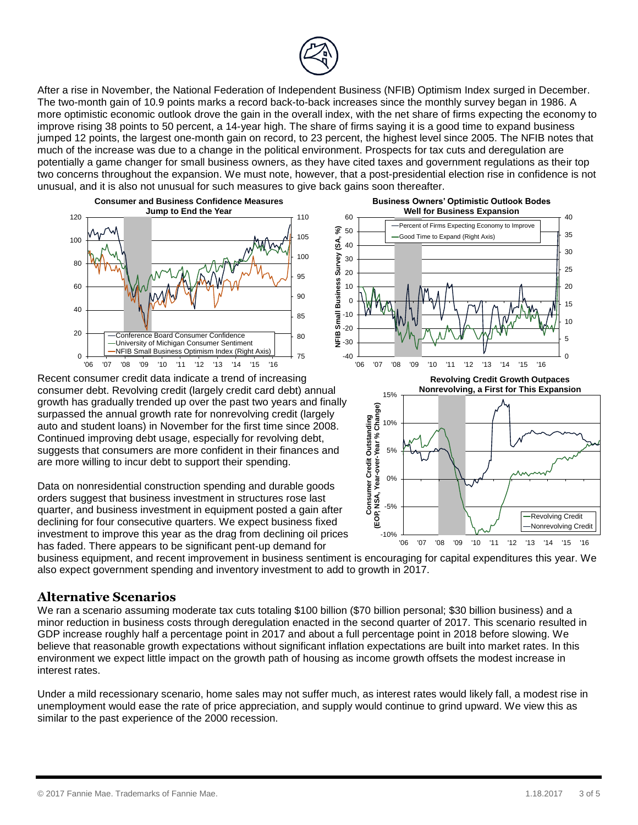

After a rise in November, the National Federation of Independent Business (NFIB) Optimism Index surged in December. The two-month gain of 10.9 points marks a record back-to-back increases since the monthly survey began in 1986. A more optimistic economic outlook drove the gain in the overall index, with the net share of firms expecting the economy to improve rising 38 points to 50 percent, a 14-year high. The share of firms saying it is a good time to expand business jumped 12 points, the largest one-month gain on record, to 23 percent, the highest level since 2005. The NFIB notes that much of the increase was due to a change in the political environment. Prospects for tax cuts and deregulation are potentially a game changer for small business owners, as they have cited taxes and government regulations as their top two concerns throughout the expansion. We must note, however, that a post-presidential election rise in confidence is not unusual, and it is also not unusual for such measures to give back gains soon thereafter.



Recent consumer credit data indicate a trend of increasing consumer debt. Revolving credit (largely credit card debt) annual growth has gradually trended up over the past two years and finally surpassed the annual growth rate for nonrevolving credit (largely auto and student loans) in November for the first time since 2008. Continued improving debt usage, especially for revolving debt, suggests that consumers are more confident in their finances and are more willing to incur debt to support their spending.

Data on nonresidential construction spending and durable goods orders suggest that business investment in structures rose last quarter, and business investment in equipment posted a gain after declining for four consecutive quarters. We expect business fixed investment to improve this year as the drag from declining oil prices has faded. There appears to be significant pent-up demand for





business equipment, and recent improvement in business sentiment is encouraging for capital expenditures this year. We also expect government spending and inventory investment to add to growth in 2017.

#### **Alternative Scenarios**

We ran a scenario assuming moderate tax cuts totaling \$100 billion (\$70 billion personal; \$30 billion business) and a minor reduction in business costs through deregulation enacted in the second quarter of 2017. This scenario resulted in GDP increase roughly half a percentage point in 2017 and about a full percentage point in 2018 before slowing. We believe that reasonable growth expectations without significant inflation expectations are built into market rates. In this environment we expect little impact on the growth path of housing as income growth offsets the modest increase in interest rates.

Under a mild recessionary scenario, home sales may not suffer much, as interest rates would likely fall, a modest rise in unemployment would ease the rate of price appreciation, and supply would continue to grind upward. We view this as similar to the past experience of the 2000 recession.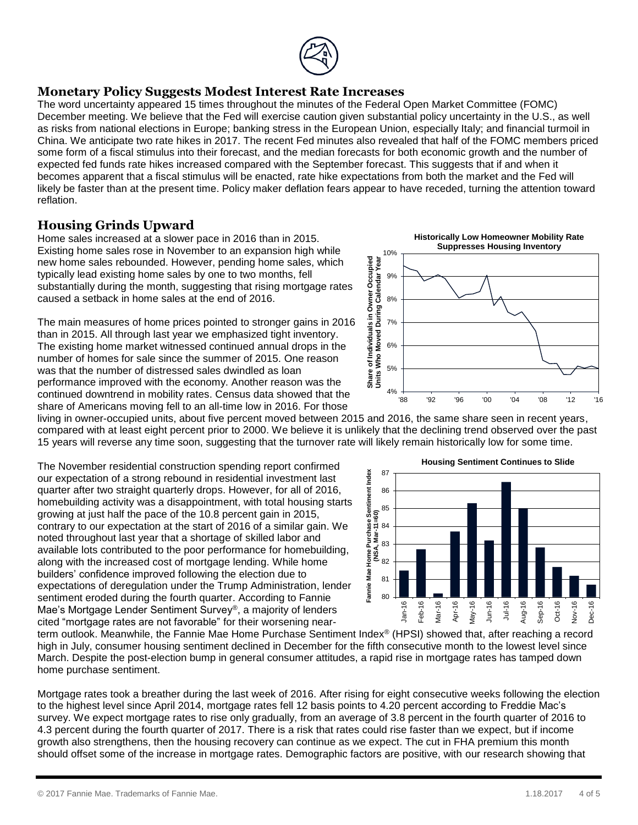

#### **Monetary Policy Suggests Modest Interest Rate Increases**

The word uncertainty appeared 15 times throughout the minutes of the Federal Open Market Committee (FOMC) December meeting. We believe that the Fed will exercise caution given substantial policy uncertainty in the U.S., as well as risks from national elections in Europe; banking stress in the European Union, especially Italy; and financial turmoil in China. We anticipate two rate hikes in 2017. The recent Fed minutes also revealed that half of the FOMC members priced some form of a fiscal stimulus into their forecast, and the median forecasts for both economic growth and the number of expected fed funds rate hikes increased compared with the September forecast. This suggests that if and when it becomes apparent that a fiscal stimulus will be enacted, rate hike expectations from both the market and the Fed will likely be faster than at the present time. Policy maker deflation fears appear to have receded, turning the attention toward reflation.

# **Housing Grinds Upward**

Home sales increased at a slower pace in 2016 than in 2015. Existing home sales rose in November to an expansion high while new home sales rebounded. However, pending home sales, which typically lead existing home sales by one to two months, fell substantially during the month, suggesting that rising mortgage rates caused a setback in home sales at the end of 2016.

The main measures of home prices pointed to stronger gains in 2016 than in 2015. All through last year we emphasized tight inventory. The existing home market witnessed continued annual drops in the number of homes for sale since the summer of 2015. One reason was that the number of distressed sales dwindled as loan performance improved with the economy. Another reason was the continued downtrend in mobility rates. Census data showed that the share of Americans moving fell to an all-time low in 2016. For those



living in owner-occupied units, about five percent moved between 2015 and 2016, the same share seen in recent years, compared with at least eight percent prior to 2000. We believe it is unlikely that the declining trend observed over the past 15 years will reverse any time soon, suggesting that the turnover rate will likely remain historically low for some time.

The November residential construction spending report confirmed our expectation of a strong rebound in residential investment last quarter after two straight quarterly drops. However, for all of 2016, homebuilding activity was a disappointment, with total housing starts growing at just half the pace of the 10.8 percent gain in 2015, contrary to our expectation at the start of 2016 of a similar gain. We noted throughout last year that a shortage of skilled labor and available lots contributed to the poor performance for homebuilding, along with the increased cost of mortgage lending. While home builders' confidence improved following the election due to expectations of deregulation under the Trump Administration, lender sentiment eroded during the fourth quarter. According to Fannie Mae's Mortgage Lender Sentiment Survey®, a majority of lenders cited "mortgage rates are not favorable" for their worsening near-



term outlook. Meanwhile, the Fannie Mae Home Purchase Sentiment Index® (HPSI) showed that, after reaching a record high in July, consumer housing sentiment declined in December for the fifth consecutive month to the lowest level since March. Despite the post-election bump in general consumer attitudes, a rapid rise in mortgage rates has tamped down home purchase sentiment.

Mortgage rates took a breather during the last week of 2016. After rising for eight consecutive weeks following the election to the highest level since April 2014, mortgage rates fell 12 basis points to 4.20 percent according to Freddie Mac's survey. We expect mortgage rates to rise only gradually, from an average of 3.8 percent in the fourth quarter of 2016 to 4.3 percent during the fourth quarter of 2017. There is a risk that rates could rise faster than we expect, but if income growth also strengthens, then the housing recovery can continue as we expect. The cut in FHA premium this month should offset some of the increase in mortgage rates. Demographic factors are positive, with our research showing that